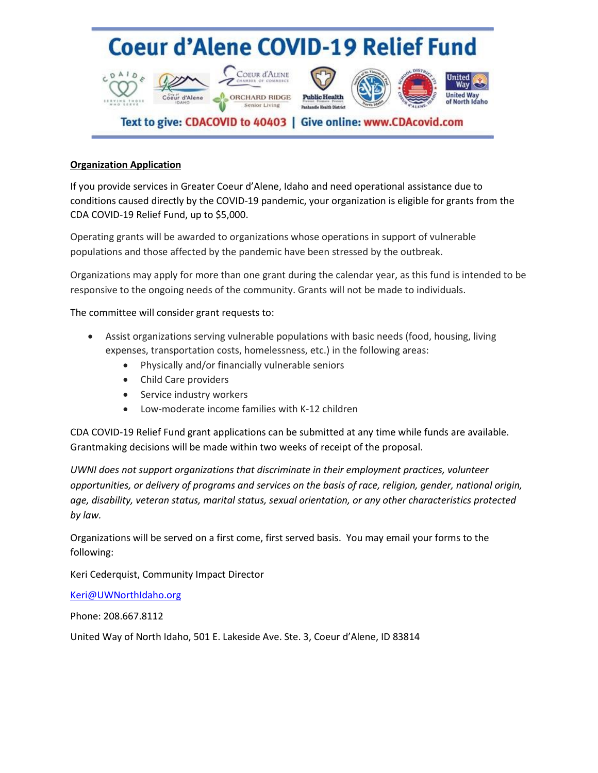# **Coeur d'Alene COVID-19 Relief Fund**







### Text to give: CDACOVID to 40403 | Give online: www.CDAcovid.com

#### **Organization Application**

 $CDAIO_A$ 

EXTHE THOSE

If you provide services in Greater Coeur d'Alene, Idaho and need operational assistance due to conditions caused directly by the COVID-19 pandemic, your organization is eligible for grants from the CDA COVID-19 Relief Fund, up to \$5,000.

Operating grants will be awarded to organizations whose operations in support of vulnerable populations and those affected by the pandemic have been stressed by the outbreak.

Organizations may apply for more than one grant during the calendar year, as this fund is intended to be responsive to the ongoing needs of the community. Grants will not be made to individuals.

The committee will consider grant requests to:

- Assist organizations serving vulnerable populations with basic needs (food, housing, living expenses, transportation costs, homelessness, etc.) in the following areas:
	- Physically and/or financially vulnerable seniors
	- Child Care providers
	- Service industry workers
	- Low-moderate income families with K-12 children

CDA COVID-19 Relief Fund grant applications can be submitted at any time while funds are available. Grantmaking decisions will be made within two weeks of receipt of the proposal.

*UWNI does not support organizations that discriminate in their employment practices, volunteer opportunities, or delivery of programs and services on the basis of race, religion, gender, national origin, age, disability, veteran status, marital status, sexual orientation, or any other characteristics protected by law.*

Organizations will be served on a first come, first served basis. You may email your forms to the following:

Keri Cederquist, Community Impact Director

[Keri@UWNorthIdaho.org](mailto:Keri@UWNorthIdaho.org)

Phone: 208.667.8112

United Way of North Idaho, 501 E. Lakeside Ave. Ste. 3, Coeur d'Alene, ID 83814